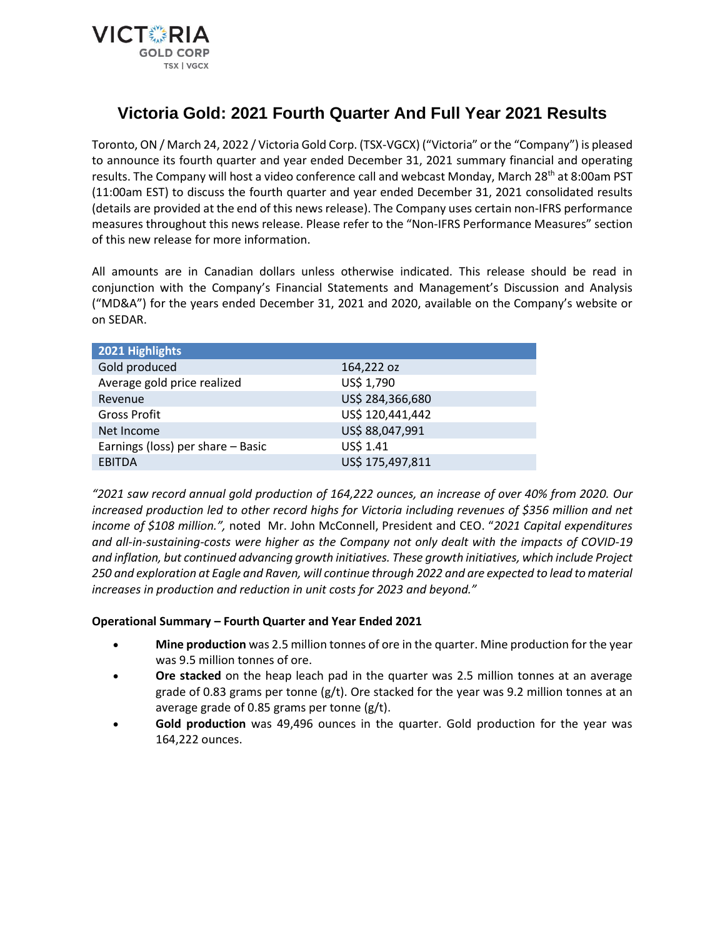

# **Victoria Gold: 2021 Fourth Quarter And Full Year 2021 Results**

Toronto, ON / March 24, 2022 / Victoria Gold Corp. (TSX-VGCX) ("Victoria" or the "Company") is pleased to announce its fourth quarter and year ended December 31, 2021 summary financial and operating results. The Company will host a video conference call and webcast Monday, March 28<sup>th</sup> at 8:00am PST (11:00am EST) to discuss the fourth quarter and year ended December 31, 2021 consolidated results (details are provided at the end of this news release). The Company uses certain non-IFRS performance measures throughout this news release. Please refer to the "Non-IFRS Performance Measures" section of this new release for more information.

All amounts are in Canadian dollars unless otherwise indicated. This release should be read in conjunction with the Company's Financial Statements and Management's Discussion and Analysis ("MD&A") for the years ended December 31, 2021 and 2020, available on the Company's website or on SEDAR.

| 2021 Highlights                   |                  |
|-----------------------------------|------------------|
| Gold produced                     | 164,222 oz       |
| Average gold price realized       | US\$ 1,790       |
| Revenue                           | US\$ 284,366,680 |
| <b>Gross Profit</b>               | US\$ 120,441,442 |
| Net Income                        | US\$ 88,047,991  |
| Earnings (loss) per share - Basic | US\$ 1.41        |
| <b>EBITDA</b>                     | US\$ 175,497,811 |
|                                   |                  |

*"2021 saw record annual gold production of 164,222 ounces, an increase of over 40% from 2020. Our increased production led to other record highs for Victoria including revenues of \$356 million and net income of \$108 million.",* noted Mr. John McConnell, President and CEO. "*2021 Capital expenditures and all-in-sustaining-costs were higher as the Company not only dealt with the impacts of COVID-19 and inflation, but continued advancing growth initiatives. These growth initiatives, which include Project 250 and exploration at Eagle and Raven, will continue through 2022 and are expected to lead to material increases in production and reduction in unit costs for 2023 and beyond."*

## **Operational Summary – Fourth Quarter and Year Ended 2021**

- **Mine production** was 2.5 million tonnes of ore in the quarter. Mine production for the year was 9.5 million tonnes of ore.
- **Ore stacked** on the heap leach pad in the quarter was 2.5 million tonnes at an average grade of 0.83 grams per tonne  $(g/t)$ . Ore stacked for the year was 9.2 million tonnes at an average grade of 0.85 grams per tonne (g/t).
- **Gold production** was 49,496 ounces in the quarter. Gold production for the year was 164,222 ounces.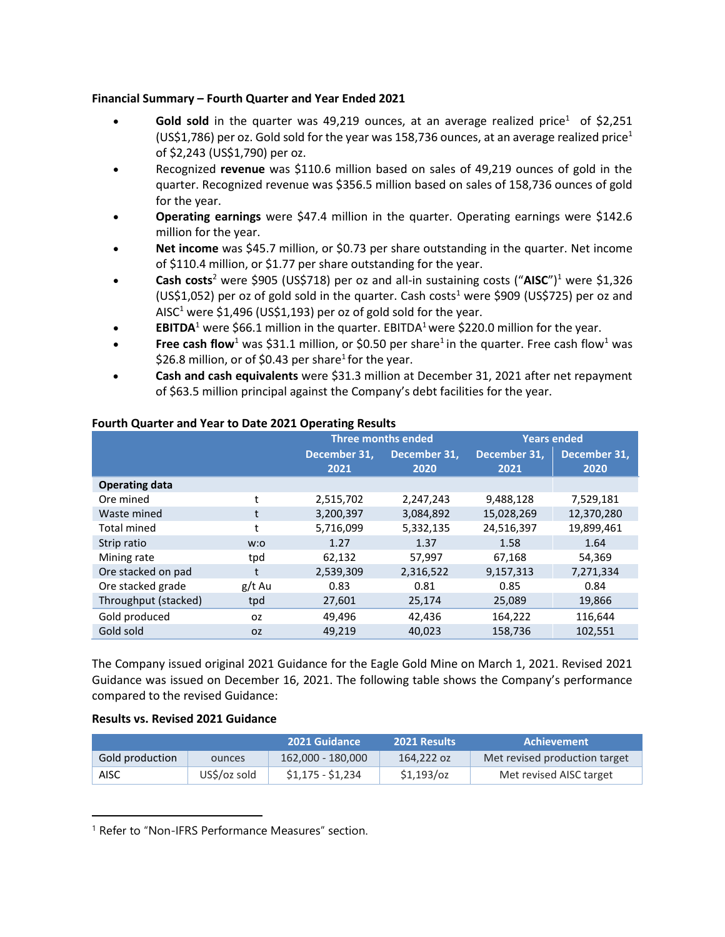## **Financial Summary – Fourth Quarter and Year Ended 2021**

- **Gold sold** in the quarter was 49,219 ounces, at an average realized price<sup>1</sup> of \$2,251 (US\$1,786) per oz. Gold sold for the year was 158,736 ounces, at an average realized price<sup>1</sup> of \$2,243 (US\$1,790) per oz.
- Recognized **revenue** was \$110.6 million based on sales of 49,219 ounces of gold in the quarter. Recognized revenue was \$356.5 million based on sales of 158,736 ounces of gold for the year.
- **Operating earnings** were \$47.4 million in the quarter. Operating earnings were \$142.6 million for the year.
- **Net income** was \$45.7 million, or \$0.73 per share outstanding in the quarter. Net income of \$110.4 million, or \$1.77 per share outstanding for the year.
- **Cash costs**<sup>2</sup> were \$905 (US\$718) per oz and all-in sustaining costs ("**AISC**")<sup>1</sup> were \$1,326 (US\$1,052) per oz of gold sold in the quarter. Cash costs<sup>1</sup> were \$909 (US\$725) per oz and AISC<sup>1</sup> were \$1,496 (US\$1,193) per oz of gold sold for the year.
- **EBITDA**<sup>1</sup> were \$66.1 million in the quarter. EBITDA<sup>1</sup> were \$220.0 million for the year.
- **Free cash flow**<sup>1</sup> was \$31.1 million, or \$0.50 per share<sup>1</sup> in the quarter. Free cash flow<sup>1</sup> was \$26.8 million, or of \$0.43 per share<sup>1</sup> for the year.
- **Cash and cash equivalents** were \$31.3 million at December 31, 2021 after net repayment of \$63.5 million principal against the Company's debt facilities for the year.

|                       |           | <b>Three months ended</b> |              | <b>Years ended</b> |              |
|-----------------------|-----------|---------------------------|--------------|--------------------|--------------|
|                       |           | December 31.              | December 31. | December 31.       | December 31, |
|                       |           | 2021                      | 2020         | 2021               | 2020         |
| <b>Operating data</b> |           |                           |              |                    |              |
| Ore mined             | t         | 2,515,702                 | 2,247,243    | 9,488,128          | 7,529,181    |
| Waste mined           | t         | 3,200,397                 | 3,084,892    | 15,028,269         | 12,370,280   |
| <b>Total mined</b>    | t         | 5,716,099                 | 5,332,135    | 24,516,397         | 19,899,461   |
| Strip ratio           | W:O       | 1.27                      | 1.37         | 1.58               | 1.64         |
| Mining rate           | tpd       | 62,132                    | 57,997       | 67,168             | 54,369       |
| Ore stacked on pad    | t         | 2,539,309                 | 2,316,522    | 9,157,313          | 7,271,334    |
| Ore stacked grade     | $g/t$ Au  | 0.83                      | 0.81         | 0.85               | 0.84         |
| Throughput (stacked)  | tpd       | 27,601                    | 25,174       | 25,089             | 19,866       |
| Gold produced         | <b>OZ</b> | 49,496                    | 42,436       | 164,222            | 116.644      |
| Gold sold             | <b>OZ</b> | 49.219                    | 40.023       | 158,736            | 102,551      |

## **Fourth Quarter and Year to Date 2021 Operating Results**

The Company issued original 2021 Guidance for the Eagle Gold Mine on March 1, 2021. Revised 2021 Guidance was issued on December 16, 2021. The following table shows the Company's performance compared to the revised Guidance:

#### **Results vs. Revised 2021 Guidance**

|                 |              | 2021 Guidance     | 2021 Results | Achievement                   |
|-----------------|--------------|-------------------|--------------|-------------------------------|
| Gold production | ounces       | 162.000 - 180.000 | 164.222 oz   | Met revised production target |
| AISC            | US\$/oz sold | \$1,175 - \$1,234 | \$1,193/oz   | Met revised AISC target       |

<sup>1</sup> Refer to "Non-IFRS Performance Measures" section.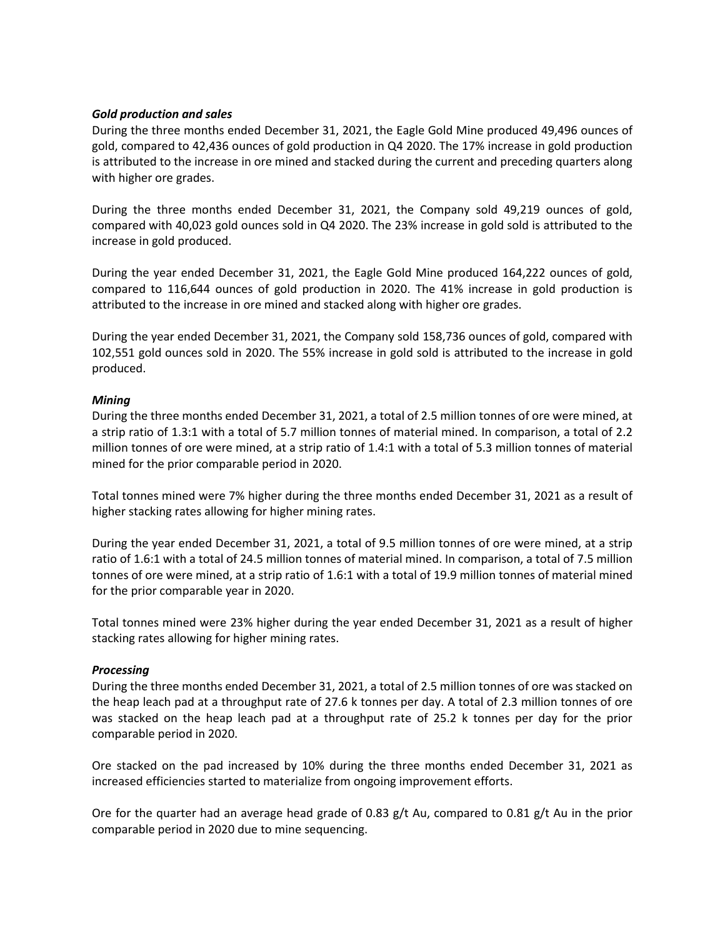## *Gold production and sales*

During the three months ended December 31, 2021, the Eagle Gold Mine produced 49,496 ounces of gold, compared to 42,436 ounces of gold production in Q4 2020. The 17% increase in gold production is attributed to the increase in ore mined and stacked during the current and preceding quarters along with higher ore grades.

During the three months ended December 31, 2021, the Company sold 49,219 ounces of gold, compared with 40,023 gold ounces sold in Q4 2020. The 23% increase in gold sold is attributed to the increase in gold produced.

During the year ended December 31, 2021, the Eagle Gold Mine produced 164,222 ounces of gold, compared to 116,644 ounces of gold production in 2020. The 41% increase in gold production is attributed to the increase in ore mined and stacked along with higher ore grades.

During the year ended December 31, 2021, the Company sold 158,736 ounces of gold, compared with 102,551 gold ounces sold in 2020. The 55% increase in gold sold is attributed to the increase in gold produced.

## *Mining*

During the three months ended December 31, 2021, a total of 2.5 million tonnes of ore were mined, at a strip ratio of 1.3:1 with a total of 5.7 million tonnes of material mined. In comparison, a total of 2.2 million tonnes of ore were mined, at a strip ratio of 1.4:1 with a total of 5.3 million tonnes of material mined for the prior comparable period in 2020.

Total tonnes mined were 7% higher during the three months ended December 31, 2021 as a result of higher stacking rates allowing for higher mining rates.

During the year ended December 31, 2021, a total of 9.5 million tonnes of ore were mined, at a strip ratio of 1.6:1 with a total of 24.5 million tonnes of material mined. In comparison, a total of 7.5 million tonnes of ore were mined, at a strip ratio of 1.6:1 with a total of 19.9 million tonnes of material mined for the prior comparable year in 2020.

Total tonnes mined were 23% higher during the year ended December 31, 2021 as a result of higher stacking rates allowing for higher mining rates.

#### *Processing*

During the three months ended December 31, 2021, a total of 2.5 million tonnes of ore was stacked on the heap leach pad at a throughput rate of 27.6 k tonnes per day. A total of 2.3 million tonnes of ore was stacked on the heap leach pad at a throughput rate of 25.2 k tonnes per day for the prior comparable period in 2020.

Ore stacked on the pad increased by 10% during the three months ended December 31, 2021 as increased efficiencies started to materialize from ongoing improvement efforts.

Ore for the quarter had an average head grade of 0.83 g/t Au, compared to 0.81 g/t Au in the prior comparable period in 2020 due to mine sequencing.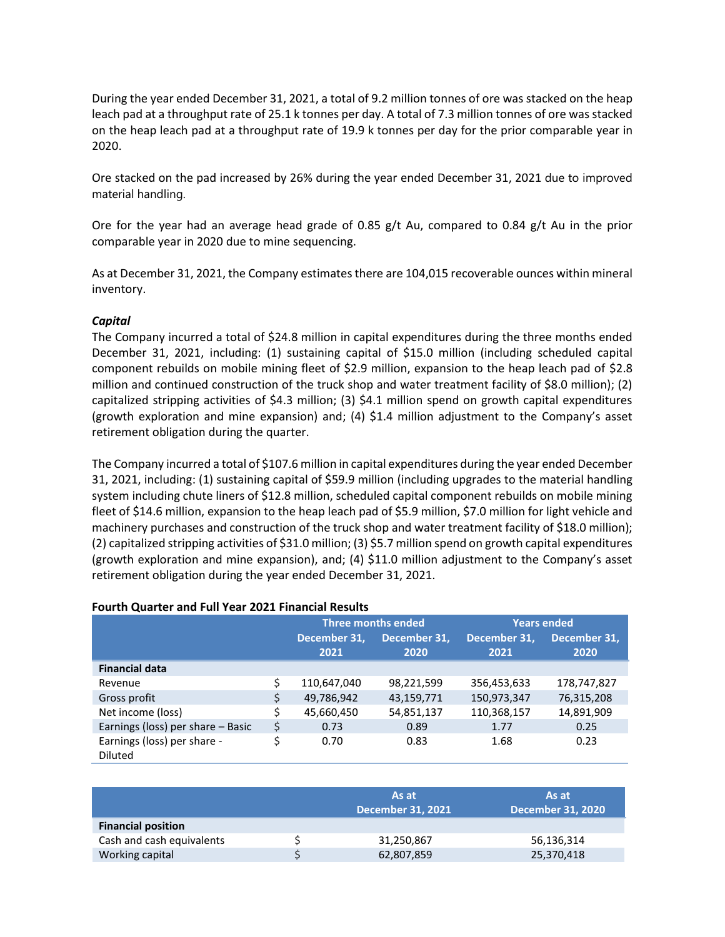During the year ended December 31, 2021, a total of 9.2 million tonnes of ore was stacked on the heap leach pad at a throughput rate of 25.1 k tonnes per day. A total of 7.3 million tonnes of ore was stacked on the heap leach pad at a throughput rate of 19.9 k tonnes per day for the prior comparable year in 2020.

Ore stacked on the pad increased by 26% during the year ended December 31, 2021 due to improved material handling.

Ore for the year had an average head grade of 0.85 g/t Au, compared to 0.84 g/t Au in the prior comparable year in 2020 due to mine sequencing.

As at December 31, 2021, the Company estimates there are 104,015 recoverable ounces within mineral inventory.

## *Capital*

The Company incurred a total of \$24.8 million in capital expenditures during the three months ended December 31, 2021, including: (1) sustaining capital of \$15.0 million (including scheduled capital component rebuilds on mobile mining fleet of \$2.9 million, expansion to the heap leach pad of \$2.8 million and continued construction of the truck shop and water treatment facility of \$8.0 million); (2) capitalized stripping activities of \$4.3 million; (3) \$4.1 million spend on growth capital expenditures (growth exploration and mine expansion) and; (4) \$1.4 million adjustment to the Company's asset retirement obligation during the quarter.

The Company incurred a total of \$107.6 million in capital expenditures during the year ended December 31, 2021, including: (1) sustaining capital of \$59.9 million (including upgrades to the material handling system including chute liners of \$12.8 million, scheduled capital component rebuilds on mobile mining fleet of \$14.6 million, expansion to the heap leach pad of \$5.9 million, \$7.0 million for light vehicle and machinery purchases and construction of the truck shop and water treatment facility of \$18.0 million); (2) capitalized stripping activities of \$31.0 million; (3) \$5.7 million spend on growth capital expenditures (growth exploration and mine expansion), and; (4) \$11.0 million adjustment to the Company's asset retirement obligation during the year ended December 31, 2021.

#### **Fourth Quarter and Full Year 2021 Financial Results**

|                                        |    | Three months ended   |                      | <b>Years ended</b>   |                      |
|----------------------------------------|----|----------------------|----------------------|----------------------|----------------------|
|                                        |    | December 31,<br>2021 | December 31,<br>2020 | December 31,<br>2021 | December 31,<br>2020 |
| <b>Financial data</b>                  |    |                      |                      |                      |                      |
| Revenue                                | Ś  | 110,647,040          | 98,221,599           | 356,453,633          | 178,747,827          |
| Gross profit                           | \$ | 49,786,942           | 43,159,771           | 150,973,347          | 76,315,208           |
| Net income (loss)                      |    | 45,660,450           | 54,851,137           | 110,368,157          | 14,891,909           |
| Earnings (loss) per share - Basic      | \$ | 0.73                 | 0.89                 | 1.77                 | 0.25                 |
| Earnings (loss) per share -<br>Diluted |    | 0.70                 | 0.83                 | 1.68                 | 0.23                 |

|                           | As at<br><b>December 31, 2021</b> | As at<br><b>December 31, 2020</b> |
|---------------------------|-----------------------------------|-----------------------------------|
| <b>Financial position</b> |                                   |                                   |
| Cash and cash equivalents | 31,250,867                        | 56,136,314                        |
| Working capital           | 62,807,859                        | 25,370,418                        |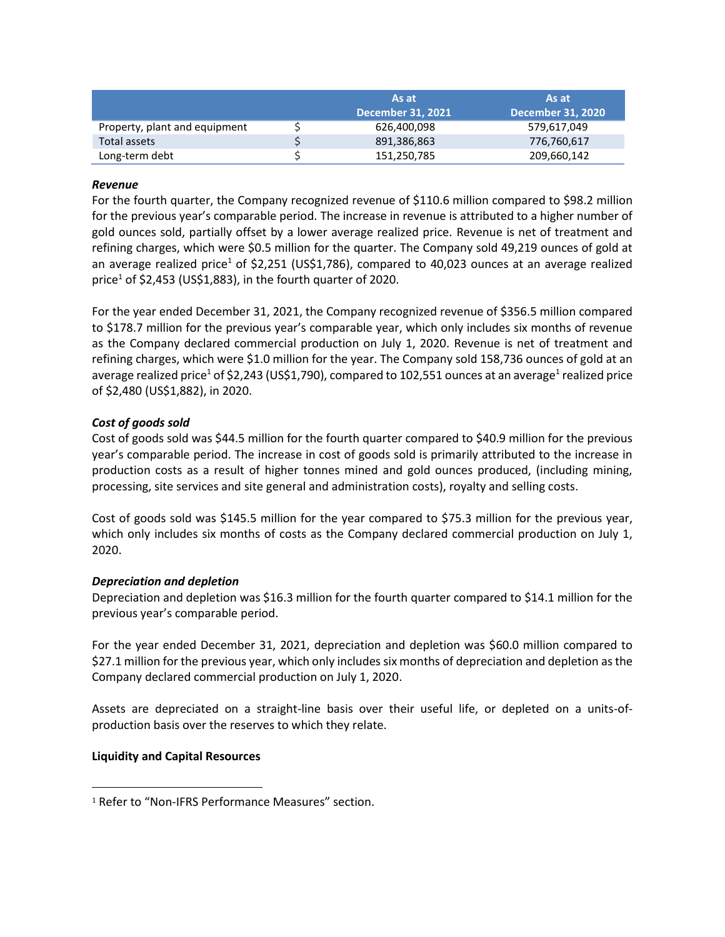|                               | As at                    | As at                    |
|-------------------------------|--------------------------|--------------------------|
|                               | <b>December 31, 2021</b> | <b>December 31, 2020</b> |
| Property, plant and equipment | 626,400,098              | 579,617,049              |
| Total assets                  | 891,386,863              | 776,760,617              |
| Long-term debt                | 151,250,785              | 209,660,142              |

## *Revenue*

For the fourth quarter, the Company recognized revenue of \$110.6 million compared to \$98.2 million for the previous year's comparable period. The increase in revenue is attributed to a higher number of gold ounces sold, partially offset by a lower average realized price. Revenue is net of treatment and refining charges, which were \$0.5 million for the quarter. The Company sold 49,219 ounces of gold at an average realized price<sup>1</sup> of \$2,251 (US\$1,786), compared to 40,023 ounces at an average realized price<sup>1</sup> of \$2,453 (US\$1,883), in the fourth quarter of 2020.

For the year ended December 31, 2021, the Company recognized revenue of \$356.5 million compared to \$178.7 million for the previous year's comparable year, which only includes six months of revenue as the Company declared commercial production on July 1, 2020. Revenue is net of treatment and refining charges, which were \$1.0 million for the year. The Company sold 158,736 ounces of gold at an average realized price<sup>1</sup> of \$2,243 (US\$1,790), compared to 102,551 ounces at an average<sup>1</sup> realized price of \$2,480 (US\$1,882), in 2020.

## *Cost of goods sold*

Cost of goods sold was \$44.5 million for the fourth quarter compared to \$40.9 million for the previous year's comparable period. The increase in cost of goods sold is primarily attributed to the increase in production costs as a result of higher tonnes mined and gold ounces produced, (including mining, processing, site services and site general and administration costs), royalty and selling costs.

Cost of goods sold was \$145.5 million for the year compared to \$75.3 million for the previous year, which only includes six months of costs as the Company declared commercial production on July 1, 2020.

#### *Depreciation and depletion*

Depreciation and depletion was \$16.3 million for the fourth quarter compared to \$14.1 million for the previous year's comparable period.

For the year ended December 31, 2021, depreciation and depletion was \$60.0 million compared to \$27.1 million for the previous year, which only includes six months of depreciation and depletion as the Company declared commercial production on July 1, 2020.

Assets are depreciated on a straight-line basis over their useful life, or depleted on a units-ofproduction basis over the reserves to which they relate.

#### **Liquidity and Capital Resources**

<sup>&</sup>lt;sup>1</sup> Refer to "Non-IFRS Performance Measures" section.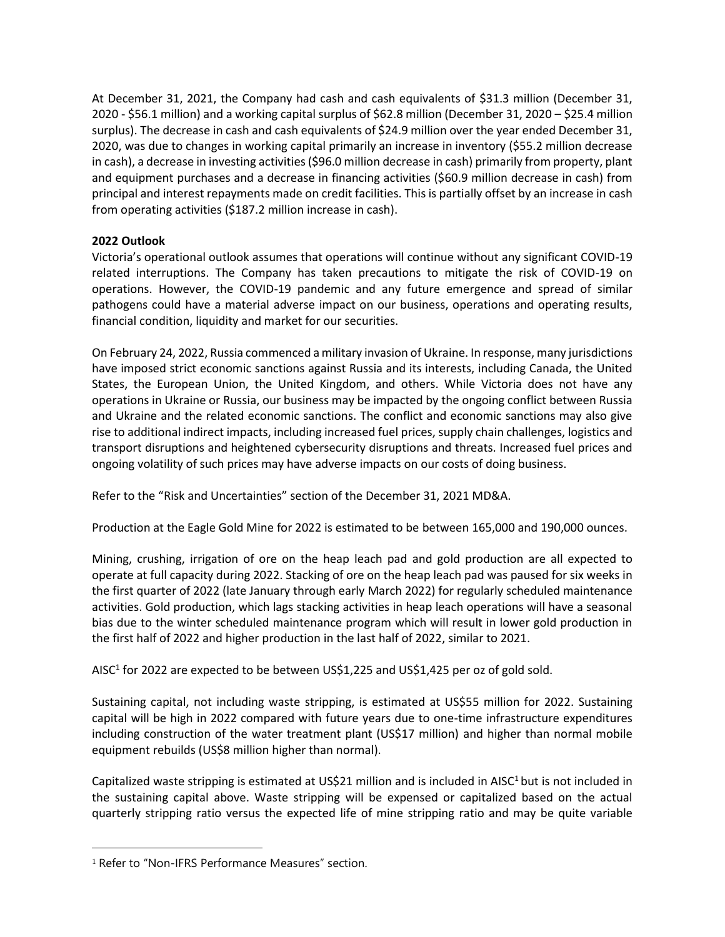At December 31, 2021, the Company had cash and cash equivalents of \$31.3 million (December 31, 2020 - \$56.1 million) and a working capital surplus of \$62.8 million (December 31, 2020 – \$25.4 million surplus). The decrease in cash and cash equivalents of \$24.9 million over the year ended December 31, 2020, was due to changes in working capital primarily an increase in inventory (\$55.2 million decrease in cash), a decrease in investing activities (\$96.0 million decrease in cash) primarily from property, plant and equipment purchases and a decrease in financing activities (\$60.9 million decrease in cash) from principal and interest repayments made on credit facilities. This is partially offset by an increase in cash from operating activities (\$187.2 million increase in cash).

## **2022 Outlook**

Victoria's operational outlook assumes that operations will continue without any significant COVID-19 related interruptions. The Company has taken precautions to mitigate the risk of COVID-19 on operations. However, the COVID-19 pandemic and any future emergence and spread of similar pathogens could have a material adverse impact on our business, operations and operating results, financial condition, liquidity and market for our securities.

On February 24, 2022, Russia commenced a military invasion of Ukraine. In response, many jurisdictions have imposed strict economic sanctions against Russia and its interests, including Canada, the United States, the European Union, the United Kingdom, and others. While Victoria does not have any operations in Ukraine or Russia, our business may be impacted by the ongoing conflict between Russia and Ukraine and the related economic sanctions. The conflict and economic sanctions may also give rise to additional indirect impacts, including increased fuel prices, supply chain challenges, logistics and transport disruptions and heightened cybersecurity disruptions and threats. Increased fuel prices and ongoing volatility of such prices may have adverse impacts on our costs of doing business.

Refer to the "Risk and Uncertainties" section of the December 31, 2021 MD&A.

Production at the Eagle Gold Mine for 2022 is estimated to be between 165,000 and 190,000 ounces.

Mining, crushing, irrigation of ore on the heap leach pad and gold production are all expected to operate at full capacity during 2022. Stacking of ore on the heap leach pad was paused for six weeks in the first quarter of 2022 (late January through early March 2022) for regularly scheduled maintenance activities. Gold production, which lags stacking activities in heap leach operations will have a seasonal bias due to the winter scheduled maintenance program which will result in lower gold production in the first half of 2022 and higher production in the last half of 2022, similar to 2021.

<span id="page-5-0"></span>AISC<sup>1</sup> for 2022 are expected to be between US\$1,225 and US\$1,425 per oz of gold sold.

Sustaining capital, not including waste stripping, is estimated at US\$55 million for 2022. Sustaining capital will be high in 2022 compared with future years due to one-time infrastructure expenditures including construction of the water treatment plant (US\$17 million) and higher than normal mobile equipment rebuilds (US\$8 million higher than normal).

[C](#page-5-0)apitalized waste stripping is estimated at US\$21 million and is included in AISC<sup>1</sup> but is not included in the sustaining capital above. Waste stripping will be expensed or capitalized based on the actual quarterly stripping ratio versus the expected life of mine stripping ratio and may be quite variable

<sup>1</sup> Refer to "Non-IFRS Performance Measures" section.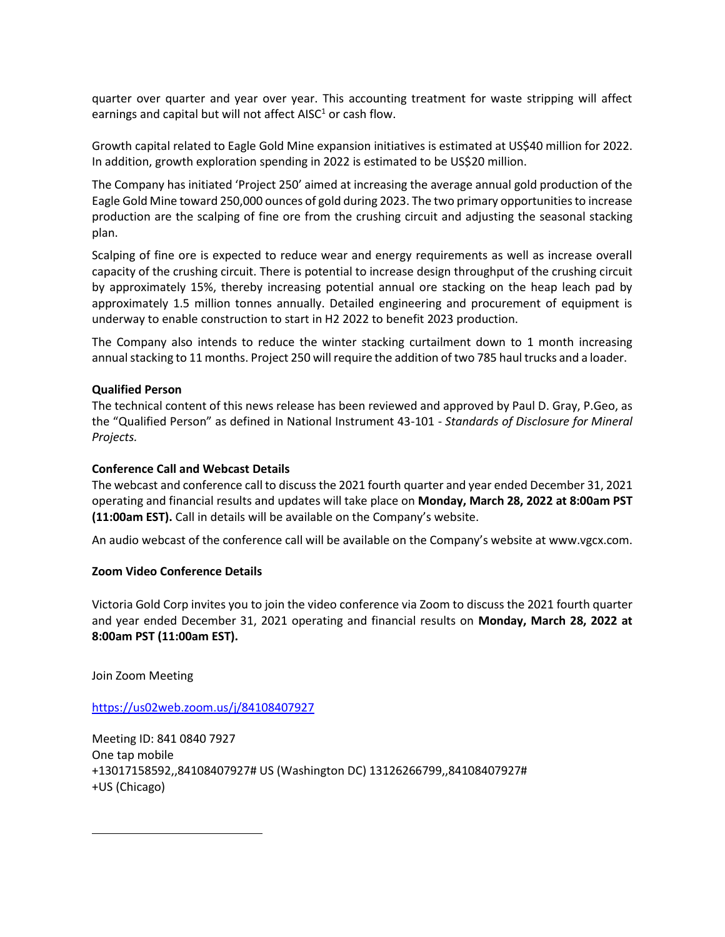quarter over quarter and year over year. This accounting treatment for waste stripping will affect earnings and capital but will not affect  $AISC<sup>1</sup>$  or cash flow.

Growth capital related to Eagle Gold Mine expansion initiatives is estimated at US\$40 million for 2022. In addition, growth exploration spending in 2022 is estimated to be US\$20 million.

The Company has initiated 'Project 250' aimed at increasing the average annual gold production of the Eagle Gold Mine toward 250,000 ounces of gold during 2023. The two primary opportunities to increase production are the scalping of fine ore from the crushing circuit and adjusting the seasonal stacking plan.

Scalping of fine ore is expected to reduce wear and energy requirements as well as increase overall capacity of the crushing circuit. There is potential to increase design throughput of the crushing circuit by approximately 15%, thereby increasing potential annual ore stacking on the heap leach pad by approximately 1.5 million tonnes annually. Detailed engineering and procurement of equipment is underway to enable construction to start in H2 2022 to benefit 2023 production.

The Company also intends to reduce the winter stacking curtailment down to 1 month increasing annual stacking to 11 months. Project 250 will require the addition of two 785 haul trucks and a loader.

#### **Qualified Person**

The technical content of this news release has been reviewed and approved by Paul D. Gray, P.Geo, as the "Qualified Person" as defined in National Instrument 43-101 - *Standards of Disclosure for Mineral Projects.*

#### **Conference Call and Webcast Details**

The webcast and conference call to discuss the 2021 fourth quarter and year ended December 31, 2021 operating and financial results and updates will take place on **Monday, March 28, 2022 at 8:00am PST (11:00am EST).** Call in details will be available on the Company's website.

An audio webcast of the conference call will be available on the Company's website at www.vgcx.com.

#### **Zoom Video Conference Details**

Victoria Gold Corp invites you to join the video conference via Zoom to discuss the 2021 fourth quarter and year ended December 31, 2021 operating and financial results on **Monday, March 28, 2022 at 8:00am PST (11:00am EST).** 

Join Zoom Meeting

<https://us02web.zoom.us/j/84108407927>

Meeting ID: 841 0840 7927 One tap mobile +13017158592,,84108407927# US (Washington DC) 13126266799,,84108407927# +US (Chicago)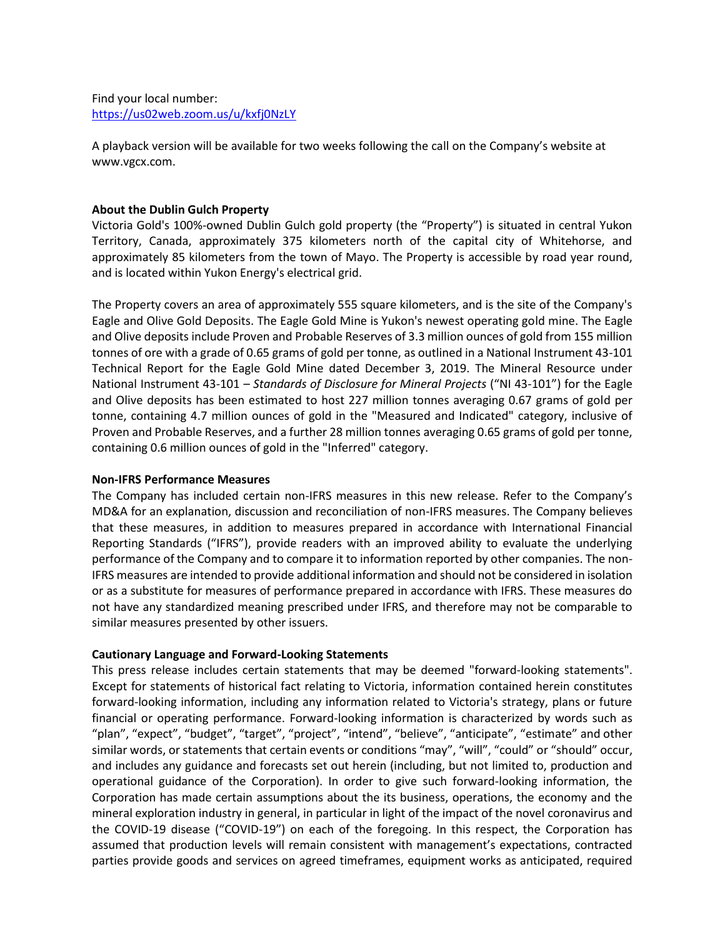A playback version will be available for two weeks following the call on the Company's website at www.vgcx.com.

## **About the Dublin Gulch Property**

Victoria Gold's 100%-owned Dublin Gulch gold property (the "Property") is situated in central Yukon Territory, Canada, approximately 375 kilometers north of the capital city of Whitehorse, and approximately 85 kilometers from the town of Mayo. The Property is accessible by road year round, and is located within Yukon Energy's electrical grid.

The Property covers an area of approximately 555 square kilometers, and is the site of the Company's Eagle and Olive Gold Deposits. The Eagle Gold Mine is Yukon's newest operating gold mine. The Eagle and Olive deposits include Proven and Probable Reserves of 3.3 million ounces of gold from 155 million tonnes of ore with a grade of 0.65 grams of gold per tonne, as outlined in a National Instrument 43-101 Technical Report for the Eagle Gold Mine dated December 3, 2019. The Mineral Resource under National Instrument 43-101 – *Standards of Disclosure for Mineral Projects* ("NI 43-101") for the Eagle and Olive deposits has been estimated to host 227 million tonnes averaging 0.67 grams of gold per tonne, containing 4.7 million ounces of gold in the "Measured and Indicated" category, inclusive of Proven and Probable Reserves, and a further 28 million tonnes averaging 0.65 grams of gold per tonne, containing 0.6 million ounces of gold in the "Inferred" category.

#### **Non-IFRS Performance Measures**

The Company has included certain non-IFRS measures in this new release. Refer to the Company's MD&A for an explanation, discussion and reconciliation of non-IFRS measures. The Company believes that these measures, in addition to measures prepared in accordance with International Financial Reporting Standards ("IFRS"), provide readers with an improved ability to evaluate the underlying performance of the Company and to compare it to information reported by other companies. The non-IFRS measures are intended to provide additional information and should not be considered in isolation or as a substitute for measures of performance prepared in accordance with IFRS. These measures do not have any standardized meaning prescribed under IFRS, and therefore may not be comparable to similar measures presented by other issuers.

## **Cautionary Language and Forward-Looking Statements**

This press release includes certain statements that may be deemed "forward-looking statements". Except for statements of historical fact relating to Victoria, information contained herein constitutes forward-looking information, including any information related to Victoria's strategy, plans or future financial or operating performance. Forward-looking information is characterized by words such as "plan", "expect", "budget", "target", "project", "intend", "believe", "anticipate", "estimate" and other similar words, or statements that certain events or conditions "may", "will", "could" or "should" occur, and includes any guidance and forecasts set out herein (including, but not limited to, production and operational guidance of the Corporation). In order to give such forward-looking information, the Corporation has made certain assumptions about the its business, operations, the economy and the mineral exploration industry in general, in particular in light of the impact of the novel coronavirus and the COVID-19 disease ("COVID-19") on each of the foregoing. In this respect, the Corporation has assumed that production levels will remain consistent with management's expectations, contracted parties provide goods and services on agreed timeframes, equipment works as anticipated, required